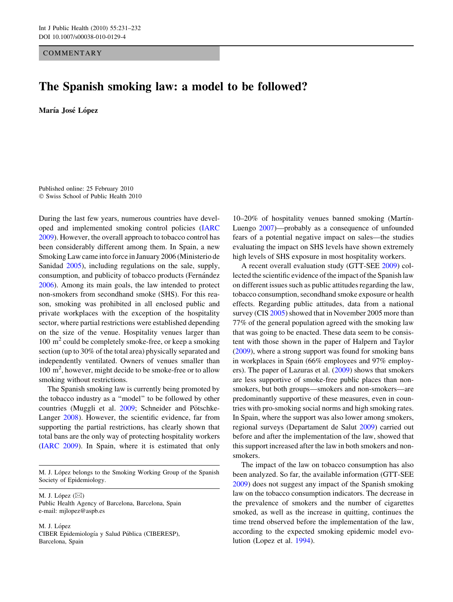**COMMENTARY** 

## The Spanish smoking law: a model to be followed?

María José López

Published online: 25 February 2010 - Swiss School of Public Health 2010

During the last few years, numerous countries have developed and implemented smoking control policies [\(IARC](#page-1-0) [2009\)](#page-1-0). However, the overall approach to tobacco control has been considerably different among them. In Spain, a new Smoking Law came into force in January 2006 (Ministerio de Sanidad [2005](#page-1-0)), including regulations on the sale, supply, consumption, and publicity of tobacco products (Fernández [2006\)](#page-1-0). Among its main goals, the law intended to protect non-smokers from secondhand smoke (SHS). For this reason, smoking was prohibited in all enclosed public and private workplaces with the exception of the hospitality sector, where partial restrictions were established depending on the size of the venue. Hospitality venues larger than  $100 \text{ m}^2$  could be completely smoke-free, or keep a smoking section (up to 30% of the total area) physically separated and independently ventilated. Owners of venues smaller than 100 m<sup>2</sup> , however, might decide to be smoke-free or to allow smoking without restrictions.

The Spanish smoking law is currently being promoted by the tobacco industry as a ''model'' to be followed by other countries (Muggli et al. [2009](#page-1-0); Schneider and Pötschke-Langer [2008](#page-1-0)). However, the scientific evidence, far from supporting the partial restrictions, has clearly shown that total bans are the only way of protecting hospitality workers [\(IARC 2009\)](#page-1-0). In Spain, where it is estimated that only

M. J. López belongs to the Smoking Working Group of the Spanish Society of Epidemiology.

M. J. López  $(\boxtimes)$ Public Health Agency of Barcelona, Barcelona, Spain e-mail: mjlopez@aspb.es

M. J. López CIBER Epidemiología y Salud Pública (CIBERESP), Barcelona, Spain

 $10-20\%$  of hospitality venues banned smoking (Martin-Luengo [2007\)](#page-1-0)—probably as a consequence of unfounded fears of a potential negative impact on sales—the studies evaluating the impact on SHS levels have shown extremely high levels of SHS exposure in most hospitality workers.

A recent overall evaluation study (GTT-SEE [2009](#page-1-0)) collected the scientific evidence of the impact of the Spanish law on different issues such as public attitudes regarding the law, tobacco consumption, secondhand smoke exposure or health effects. Regarding public attitudes, data from a national survey (CIS [2005](#page-1-0)) showed that in November 2005 more than 77% of the general population agreed with the smoking law that was going to be enacted. These data seem to be consistent with those shown in the paper of Halpern and Taylor [\(2009](#page-1-0)), where a strong support was found for smoking bans in workplaces in Spain (66% employees and 97% employers). The paper of Lazuras et al. ([2009\)](#page-1-0) shows that smokers are less supportive of smoke-free public places than nonsmokers, but both groups—smokers and non-smokers—are predominantly supportive of these measures, even in countries with pro-smoking social norms and high smoking rates. In Spain, where the support was also lower among smokers, regional surveys (Departament de Salut [2009\)](#page-1-0) carried out before and after the implementation of the law, showed that this support increased after the law in both smokers and nonsmokers.

The impact of the law on tobacco consumption has also been analyzed. So far, the available information (GTT-SEE [2009](#page-1-0)) does not suggest any impact of the Spanish smoking law on the tobacco consumption indicators. The decrease in the prevalence of smokers and the number of cigarettes smoked, as well as the increase in quitting, continues the time trend observed before the implementation of the law, according to the expected smoking epidemic model evolution (Lopez et al. [1994](#page-1-0)).